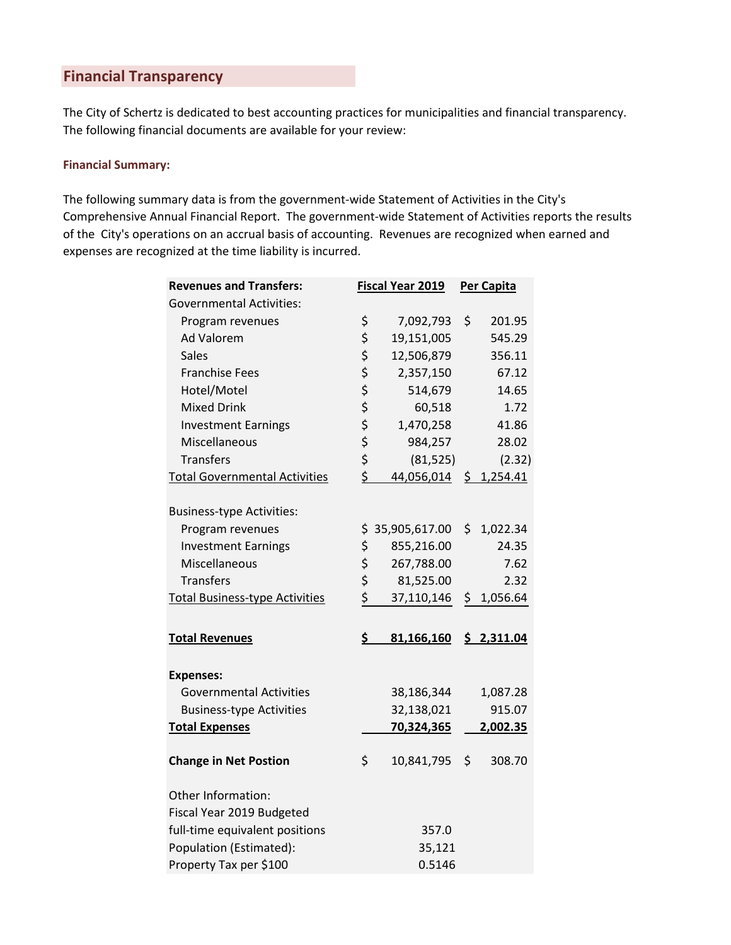## **Financial Transparency**

The City of Schertz is dedicated to best accounting practices for municipalities and financial transparency. The following financial documents are available for your review:

## **Financial Summary:**

The following summary data is from the government-wide Statement of Activities in the City's Comprehensive Annual Financial Report. The government-wide Statement of Activities reports the results of the City's operations on an accrual basis of accounting. Revenues are recognized when earned and expenses are recognized at the time liability is incurred.

| <b>Revenues and Transfers:</b>        |          | <b>Fiscal Year 2019</b> | <b>Per Capita</b> |
|---------------------------------------|----------|-------------------------|-------------------|
| <b>Governmental Activities:</b>       |          |                         |                   |
| Program revenues                      | \$       | 7,092,793               | \$<br>201.95      |
| <b>Ad Valorem</b>                     | \$       | 19,151,005              | 545.29            |
| <b>Sales</b>                          | \$       | 12,506,879              | 356.11            |
| <b>Franchise Fees</b>                 | \$       | 2,357,150               | 67.12             |
| Hotel/Motel                           | \$       | 514,679                 | 14.65             |
| <b>Mixed Drink</b>                    | \$       | 60,518                  | 1.72              |
| <b>Investment Earnings</b>            | \$       | 1,470,258               | 41.86             |
| Miscellaneous                         | \$<br>\$ | 984,257                 | 28.02             |
| <b>Transfers</b>                      |          | (81, 525)               | (2.32)            |
| <b>Total Governmental Activities</b>  | \$       | 44,056,014 \$ 1,254.41  |                   |
| <b>Business-type Activities:</b>      |          |                         |                   |
| Program revenues                      | \$       | 35,905,617.00           | \$1,022.34        |
| <b>Investment Earnings</b>            | \$       | 855,216.00              | 24.35             |
| Miscellaneous                         | \$       | 267,788.00              | 7.62              |
| <b>Transfers</b>                      | \$       | 81,525.00               | 2.32              |
| <b>Total Business-type Activities</b> | \$       | 37,110,146              | \$<br>1,056.64    |
| <b>Total Revenues</b>                 | \$       | 81,166,160              | \$2,311.04        |
| <b>Expenses:</b>                      |          |                         |                   |
| <b>Governmental Activities</b>        |          | 38,186,344              | 1,087.28          |
| <b>Business-type Activities</b>       |          | 32,138,021              | 915.07            |
| <b>Total Expenses</b>                 |          | 70,324,365              | 2,002.35          |
| <b>Change in Net Postion</b>          | \$       | 10,841,795              | \$<br>308.70      |
| Other Information:                    |          |                         |                   |
| Fiscal Year 2019 Budgeted             |          |                         |                   |
| full-time equivalent positions        |          | 357.0                   |                   |
| Population (Estimated):               |          | 35,121                  |                   |
| Property Tax per \$100                |          | 0.5146                  |                   |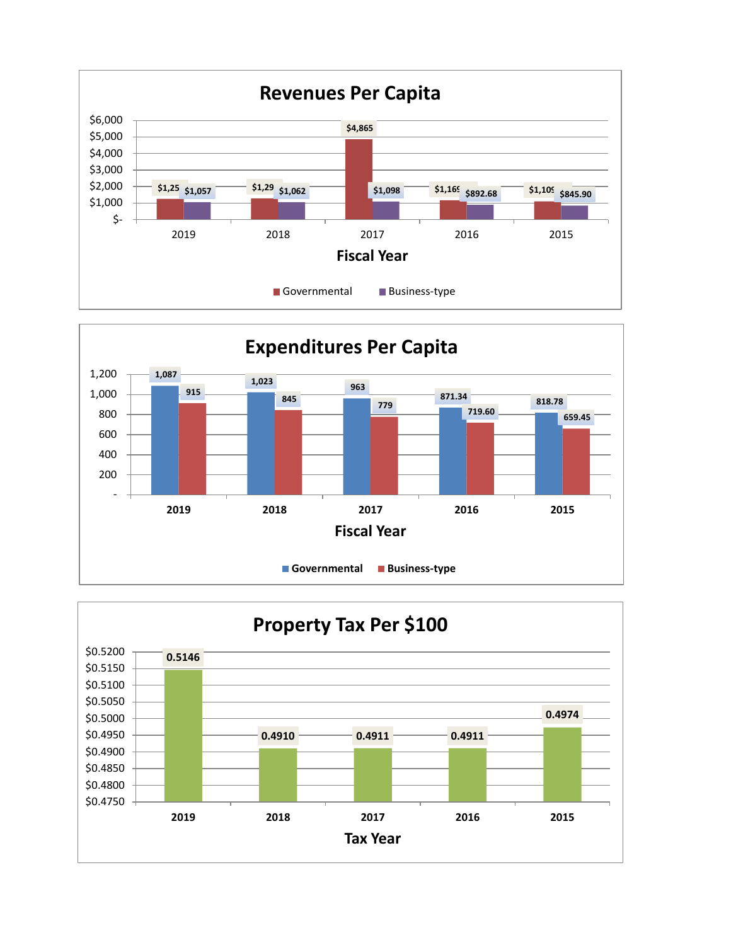



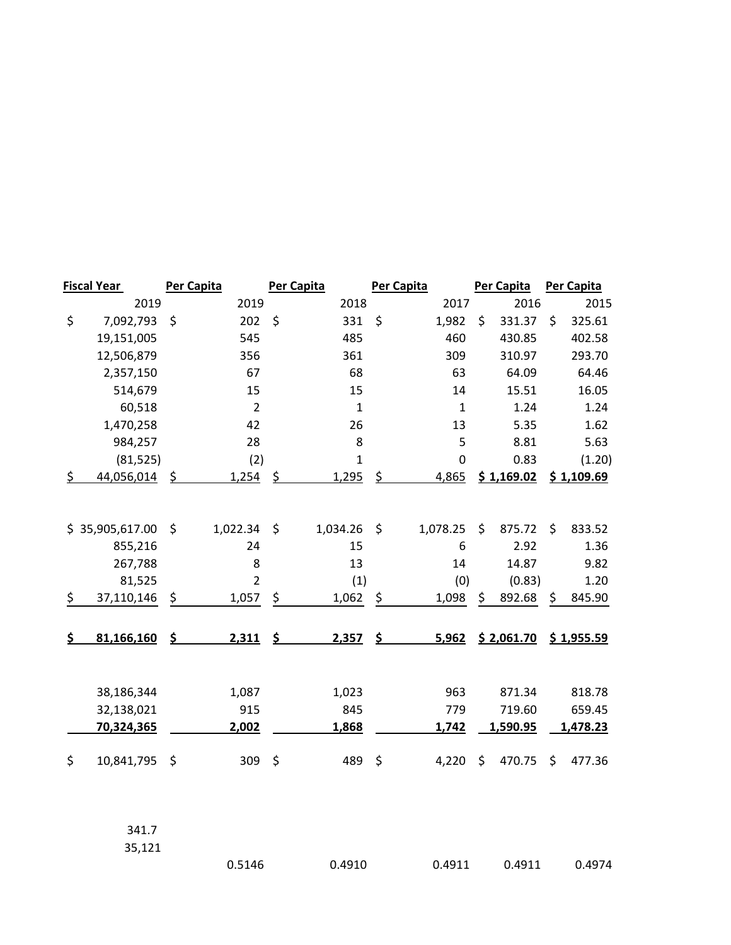| <b>Fiscal Year</b> | Per Capita     |         | Per Capita   | <b>Per Capita</b> | Per Capita   | Per Capita   |
|--------------------|----------------|---------|--------------|-------------------|--------------|--------------|
| 2019               | 2019           |         | 2018         | 2017              | 2016         | 2015         |
| \$<br>7,092,793    | \$<br>202      | \$      | 331          | \$<br>1,982       | \$<br>331.37 | \$<br>325.61 |
| 19,151,005         | 545            |         | 485          | 460               | 430.85       | 402.58       |
| 12,506,879         | 356            |         | 361          | 309               | 310.97       | 293.70       |
| 2,357,150          | 67             |         | 68           | 63                | 64.09        | 64.46        |
| 514,679            | 15             |         | 15           | 14                | 15.51        | 16.05        |
| 60,518             | $\overline{2}$ |         | $\mathbf{1}$ | $\mathbf{1}$      | 1.24         | 1.24         |
| 1,470,258          | 42             |         | 26           | 13                | 5.35         | 1.62         |
| 984,257            | 28             |         | 8            | 5                 | 8.81         | 5.63         |
| (81, 525)          | (2)            |         | $\mathbf 1$  | 0                 | 0.83         | (1.20)       |
| \$<br>44,056,014   | \$<br>1,254    | \$      | 1,295        | \$<br>4,865       | \$1,169.02   | \$1,109.69   |
|                    |                |         |              |                   |              |              |
| \$35,905,617.00    | \$<br>1,022.34 | $\zeta$ | 1,034.26     | \$<br>1,078.25    | \$<br>875.72 | \$<br>833.52 |
| 855,216            | 24             |         | 15           | 6                 | 2.92         | 1.36         |
| 267,788            | 8              |         | 13           | 14                | 14.87        | 9.82         |
| 81,525             | $\overline{2}$ |         | (1)          | (0)               | (0.83)       | 1.20         |
| \$<br>37,110,146   | \$<br>1,057    | \$      | 1,062        | \$<br>1,098       | \$<br>892.68 | \$<br>845.90 |
| \$<br>81,166,160   | \$<br>2,311    | \$      | 2,357        | \$<br>5,962       | \$2,061.70   | \$1,955.59   |
|                    |                |         |              |                   |              |              |
| 38,186,344         | 1,087          |         | 1,023        | 963               | 871.34       | 818.78       |
| 32,138,021         | 915            |         | 845          | 779               | 719.60       | 659.45       |
| 70,324,365         | 2,002          |         | 1,868        | 1,742             | 1,590.95     | 1,478.23     |
| \$<br>10,841,795   | \$<br>309      | \$      | 489          | \$<br>4,220       | \$<br>470.75 | \$<br>477.36 |

341.7 35,121

| 0.5146 | 0.4910 | 0.4911 | 0.4911 | 0.4974 |
|--------|--------|--------|--------|--------|
|        |        |        |        |        |